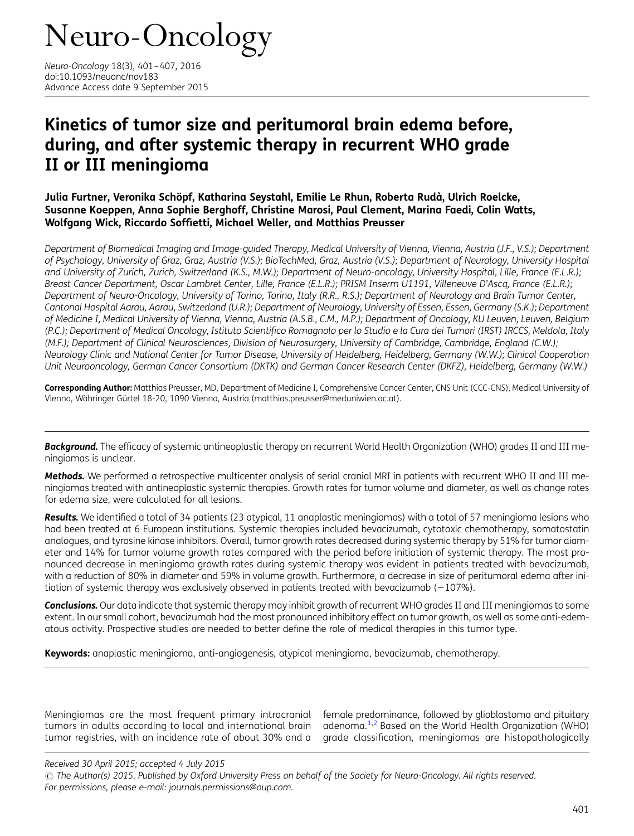

Neuro-Oncology 18(3), 401–407, 2016 doi:10.1093/neuonc/nov183 Advance Access date 9 September 2015

# Kinetics of tumor size and peritumoral brain edema before, during, and after systemic therapy in recurrent WHO grade II or III meningioma

Julia Furtner, Veronika Schöpf, Katharina Seystahl, Emilie Le Rhun, Roberta Rudà, Ulrich Roelcke, Susanne Koeppen, Anna Sophie Berghoff, Christine Marosi, Paul Clement, Marina Faedi, Colin Watts, Wolfgang Wick, Riccardo Soffietti, Michael Weller, and Matthias Preusser

Department of Biomedical Imaging and Image-guided Therapy, Medical University of Vienna, Vienna, Austria (J.F., V.S.); Department of Psychology, University of Graz, Graz, Austria (V.S.); BioTechMed, Graz, Austria (V.S.); Department of Neurology, University Hospital and University of Zurich, Zurich, Switzerland (K.S., M.W.); Department of Neuro-oncology, University Hospital, Lille, France (E.L.R.); Breast Cancer Department, Oscar Lambret Center, Lille, France (E.L.R.); PRISM Inserm U1191, Villeneuve D'Ascq, France (E.L.R.); Department of Neuro-Oncology, University of Torino, Torino, Italy (R.R., R.S.); Department of Neurology and Brain Tumor Center, Cantonal Hospital Aarau, Aarau, Switzerland (U.R.); Department of Neurology, University of Essen, Essen, Germany (S.K.); Department of Medicine I, Medical University of Vienna, Vienna, Austria (A.S.B., C.M., M.P.); Department of Oncology, KU Leuven, Leuven, Belgium (P.C.); Department of Medical Oncology, Istituto Scientifico Romagnolo per lo Studio e la Cura dei Tumori (IRST) IRCCS, Meldola, Italy (M.F.); Department of Clinical Neurosciences, Division of Neurosurgery, University of Cambridge, Cambridge, England (C.W.); Neurology Clinic and National Center for Tumor Disease, University of Heidelberg, Heidelberg, Germany (W.W.); Clinical Cooperation Unit Neurooncology, German Cancer Consortium (DKTK) and German Cancer Research Center (DKFZ), Heidelberg, Germany (W.W.)

Corresponding Author: Matthias Preusser, MD, Department of Medicine I, Comprehensive Cancer Center, CNS Unit (CCC-CNS), Medical University of Vienna, Währinger Gürtel 18-20, 1090 Vienna, Austria (matthias.preusser@meduniwien.ac.at).

Background. The efficacy of systemic antineoplastic therapy on recurrent World Health Organization (WHO) grades II and III meningiomas is unclear.

Methods. We performed a retrospective multicenter analysis of serial cranial MRI in patients with recurrent WHO II and III meningiomas treated with antineoplastic systemic therapies. Growth rates for tumor volume and diameter, as well as change rates for edema size, were calculated for all lesions.

Results. We identified a total of 34 patients (23 atypical, 11 anaplastic meningiomas) with a total of 57 meningioma lesions who had been treated at 6 European institutions. Systemic therapies included bevacizumab, cytotoxic chemotherapy, somatostatin analogues, and tyrosine kinase inhibitors. Overall, tumor growth rates decreased during systemic therapy by 51% for tumor diameter and 14% for tumor volume growth rates compared with the period before initiation of systemic therapy. The most pronounced decrease in meningioma growth rates during systemic therapy was evident in patients treated with bevacizumab, with a reduction of 80% in diameter and 59% in volume growth. Furthermore, a decrease in size of peritumoral edema after initiation of systemic therapy was exclusively observed in patients treated with bevacizumab  $(-107\%)$ .

Conclusions. Our data indicate that systemic therapy may inhibit growth of recurrent WHO grades II and III meningiomas to some extent. In our small cohort, bevacizumab had the most pronounced inhibitory effect on tumor growth, as well as some anti-edematous activity. Prospective studies are needed to better define the role of medical therapies in this tumor type.

Keywords: anaplastic meningioma, anti-angiogenesis, atypical meningioma, bevacizumab, chemotherapy.

Meningiomas are the most frequent primary intracranial tumors in adults according to local and international brain tumor registries, with an incidence rate of about 30% and a

female predominance, followed by glioblastoma and pituitary adenoma. $1/2$  $1/2$  $1/2$  Based on the World Health Organization (WHO) grade classification, meningiomas are histopathologically

Received 30 April 2015; accepted 4 July 2015

 $\odot$  The Author(s) 2015. Published by Oxford University Press on behalf of the Society for Neuro-Oncology. All rights reserved. For permissions, please e-mail: journals.permissions@oup.com.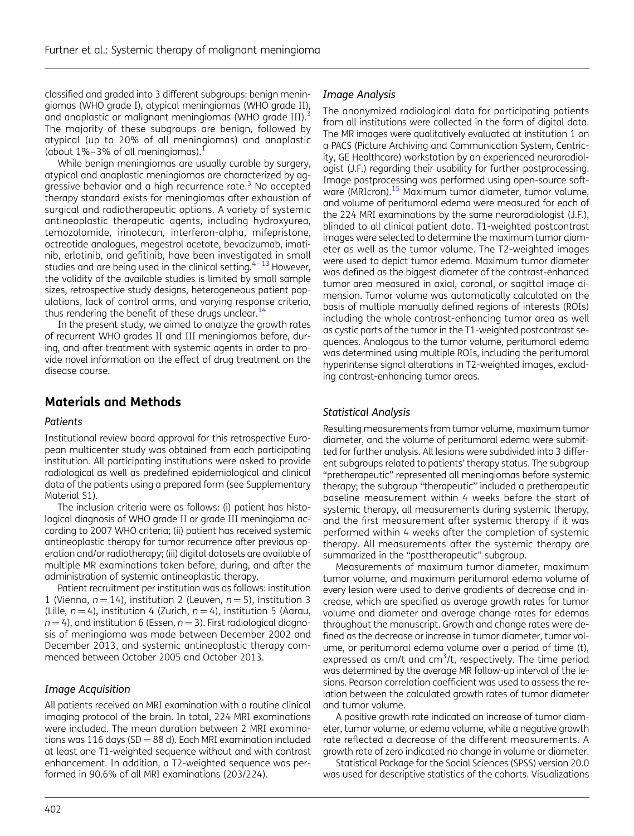classified and graded into 3 different subgroups: benign meningiomas (WHO grade I), atypical meningiomas (WHO grade II), and anaplastic or malignant meningiomas (WHO grade III).<sup>[3](#page-6-0)</sup> The majority of these subgroups are benign, followed by atypical (up to 20% of all meningiomas) and anaplastic (about  $1\% - 3\%$  $1\% - 3\%$  of all meningiomas).

While benign meningiomas are usually curable by surgery, atypical and anaplastic meningiomas are characterized by ag-gressive behavior and a high recurrence rate.<sup>[3](#page-6-0)</sup> No accepted therapy standard exists for meningiomas after exhaustion of surgical and radiotherapeutic options. A variety of systemic antineoplastic therapeutic agents, including hydroxyurea, temozolomide, irinotecan, interferon-alpha, mifepristone, octreotide analogues, megestrol acetate, bevacizumab, imatinib, erlotinib, and gefitinib, have been investigated in small studies and are being used in the clinical setting. $4-13$  $4-13$  $4-13$  However, the validity of the available studies is limited by small sample sizes, retrospective study designs, heterogeneous patient populations, lack of control arms, and varying response criteria, thus rendering the benefit of these drugs unclear.<sup>[14](#page-6-0)</sup>

In the present study, we aimed to analyze the growth rates of recurrent WHO grades II and III meningiomas before, during, and after treatment with systemic agents in order to provide novel information on the effect of drug treatment on the disease course.

# Materials and Methods

#### Patients

Institutional review board approval for this retrospective European multicenter study was obtained from each participating institution. All participating institutions were asked to provide radiological as well as predefined epidemiological and clinical data of the patients using a prepared form (see [Supplementary](http://neuro-oncology.oxfordjournals.org/lookup/suppl/doi:10.1093/neuonc/nov183/-/DC1) [Material S1\)](http://neuro-oncology.oxfordjournals.org/lookup/suppl/doi:10.1093/neuonc/nov183/-/DC1).

The inclusion criteria were as follows: (i) patient has histological diagnosis of WHO grade II or grade III meningioma according to 2007 WHO criteria; (ii) patient has received systemic antineoplastic therapy for tumor recurrence after previous operation and/or radiotherapy; (iii) digital datasets are available of multiple MR examinations taken before, during, and after the administration of systemic antineoplastic therapy.

Patient recruitment per institution was as follows: institution 1 (Vienna,  $n = 14$ ), institution 2 (Leuven,  $n = 5$ ), institution 3 (Lille,  $n = 4$ ), institution 4 (Zurich,  $n = 4$ ), institution 5 (Aarau,  $n = 4$ ), and institution 6 (Essen,  $n = 3$ ). First radiological diagnosis of meningioma was made between December 2002 and December 2013, and systemic antineoplastic therapy commenced between October 2005 and October 2013.

### Image Acquisition

All patients received an MRI examination with a routine clinical imaging protocol of the brain. In total, 224 MRI examinations were included. The mean duration between 2 MRI examinations was 116 days (SD = 88 d). Each MRI examination included at least one T1-weighted sequence without and with contrast enhancement. In addition, a T2-weighted sequence was performed in 90.6% of all MRI examinations (203/224).

### Image Analysis

The anonymized radiological data for participating patients from all institutions were collected in the form of digital data. The MR images were qualitatively evaluated at institution 1 on a PACS (Picture Archiving and Communication System, Centricity, GE Healthcare) workstation by an experienced neuroradiologist (J.F.) regarding their usability for further postprocessing. Image postprocessing was performed using open-source soft-ware (MRIcron).<sup>[15](#page-6-0)</sup> Maximum tumor diameter, tumor volume, and volume of peritumoral edema were measured for each of the 224 MRI examinations by the same neuroradiologist (J.F.), blinded to all clinical patient data. T1-weighted postcontrast images were selected to determine the maximum tumor diameter as well as the tumor volume. The T2-weighted images were used to depict tumor edema. Maximum tumor diameter was defined as the biggest diameter of the contrast-enhanced tumor area measured in axial, coronal, or sagittal image dimension. Tumor volume was automatically calculated on the basis of multiple manually defined regions of interests (ROIs) including the whole contrast-enhancing tumor area as well as cystic parts of the tumor in the T1-weighted postcontrast sequences. Analogous to the tumor volume, peritumoral edema was determined using multiple ROIs, including the peritumoral hyperintense signal alterations in T2-weighted images, excluding contrast-enhancing tumor areas.

### Statistical Analysis

Resulting measurements from tumor volume, maximum tumor diameter, and the volume of peritumoral edema were submitted for further analysis. All lesions were subdivided into 3 different subgroups related to patients' therapy status. The subgroup "pretherapeutic" represented all meningiomas before systemic therapy; the subgroup "therapeutic" included a pretherapeutic baseline measurement within 4 weeks before the start of systemic therapy, all measurements during systemic therapy, and the first measurement after systemic therapy if it was performed within 4 weeks after the completion of systemic therapy. All measurements after the systemic therapy are summarized in the "posttherapeutic" subgroup.

Measurements of maximum tumor diameter, maximum tumor volume, and maximum peritumoral edema volume of every lesion were used to derive gradients of decrease and increase, which are specified as average growth rates for tumor volume and diameter and average change rates for edemas throughout the manuscript. Growth and change rates were defined as the decrease or increase in tumor diameter, tumor volume, or peritumoral edema volume over a period of time (t), expressed as cm/t and cm<sup>3</sup>/t, respectively. The time period was determined by the average MR follow-up interval of the lesions. Pearson correlation coefficient was used to assess the relation between the calculated growth rates of tumor diameter and tumor volume.

A positive growth rate indicated an increase of tumor diameter, tumor volume, or edema volume, while a negative growth rate reflected a decrease of the different measurements. A growth rate of zero indicated no change in volume or diameter.

Statistical Package for the Social Sciences (SPSS) version 20.0 was used for descriptive statistics of the cohorts. Visualizations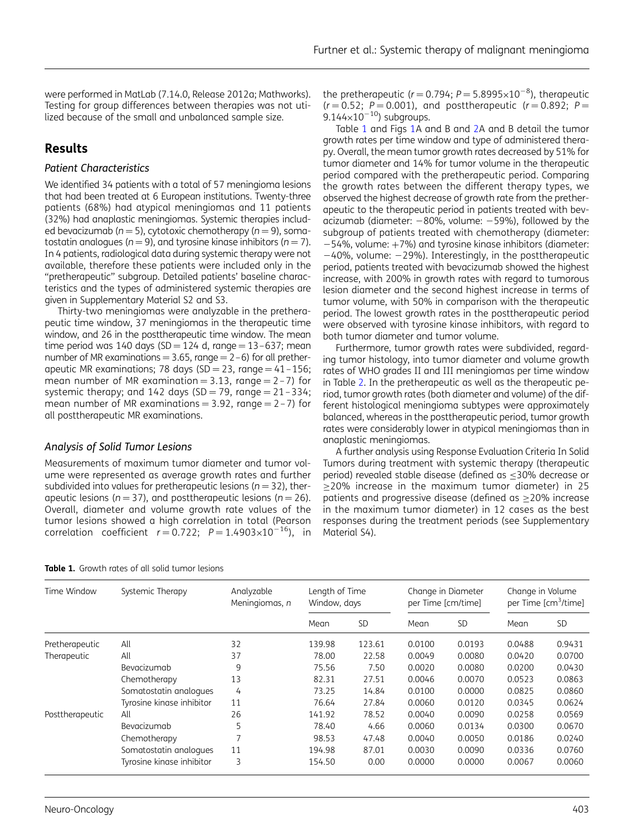were performed in MatLab (7.14.0, Release 2012a; Mathworks). Testing for group differences between therapies was not utilized because of the small and unbalanced sample size.

# Results

#### Patient Characteristics

We identified 34 patients with a total of 57 meningioma lesions that had been treated at 6 European institutions. Twenty-three patients (68%) had atypical meningiomas and 11 patients (32%) had anaplastic meningiomas. Systemic therapies included bevacizumab ( $n = 5$ ), cytotoxic chemotherapy ( $n = 9$ ), somatostatin analogues ( $n = 9$ ), and tyrosine kinase inhibitors ( $n = 7$ ). In 4 patients, radiological data during systemic therapy were not available, therefore these patients were included only in the "pretherapeutic" subgroup. Detailed patients' baseline characteristics and the types of administered systemic therapies are given in [Supplementary Material S2 and S3](http://neuro-oncology.oxfordjournals.org/lookup/suppl/doi:10.1093/neuonc/nov183/-/DC1).

Thirty-two meningiomas were analyzable in the pretherapeutic time window, 37 meningiomas in the therapeutic time window, and 26 in the posttherapeutic time window. The mean time period was 140 days (SD = 124 d, range =  $13-637$ ; mean number of MR examinations  $= 3.65$ , range  $= 2-6$ ) for all pretherapeutic MR examinations; 78 days (SD = 23, range =  $41-156$ ; mean number of MR examination  $=$  3.13, range  $=$  2–7) for systemic therapy; and 142 days (SD = 79, range  $= 21-334$ ; mean number of MR examinations  $=$  3.92, range  $=$  2–7) for all posttherapeutic MR examinations.

#### Analysis of Solid Tumor Lesions

Measurements of maximum tumor diameter and tumor volume were represented as average growth rates and further subdivided into values for pretherapeutic lesions ( $n = 32$ ), therapeutic lesions ( $n = 37$ ), and posttherapeutic lesions ( $n = 26$ ). Overall, diameter and volume growth rate values of the tumor lesions showed a high correlation in total (Pearson correlation coefficient  $r = 0.722$ ;  $P = 1.4903 \times 10^{-16}$ ), in

the pretherapeutic ( $r = 0.794$ ;  $P = 5.8995 \times 10^{-8}$ ), therapeutic  $(r = 0.52; P = 0.001)$ , and posttherapeutic  $(r = 0.892; P = 0.001)$ 9.144 $\times$ 10<sup>-10</sup>) subgroups.

Table 1 and Figs [1A](#page-3-0) and B and [2A](#page-4-0) and B detail the tumor growth rates per time window and type of administered therapy. Overall, the mean tumor growth rates decreased by 51% for tumor diameter and 14% for tumor volume in the therapeutic period compared with the pretherapeutic period. Comparing the growth rates between the different therapy types, we observed the highest decrease of growth rate from the pretherapeutic to the therapeutic period in patients treated with bevacizumab (diameter:  $-80\%$ , volume:  $-59\%$ ), followed by the subgroup of patients treated with chemotherapy (diameter:  $-54\%$ , volume:  $+7\%$ ) and tyrosine kinase inhibitors (diameter:  $\,$  $-40\%$ , volume:  $-29\%$ ). Interestingly, in the posttherapeutic period, patients treated with bevacizumab showed the highest increase, with 200% in growth rates with regard to tumorous lesion diameter and the second highest increase in terms of tumor volume, with 50% in comparison with the therapeutic period. The lowest growth rates in the posttherapeutic period were observed with tyrosine kinase inhibitors, with regard to both tumor diameter and tumor volume.

Furthermore, tumor growth rates were subdivided, regarding tumor histology, into tumor diameter and volume growth rates of WHO grades II and III meningiomas per time window in Table [2.](#page-4-0) In the pretherapeutic as well as the therapeutic period, tumor growth rates (both diameter and volume) of the different histological meningioma subtypes were approximately balanced, whereas in the posttherapeutic period, tumor growth rates were considerably lower in atypical meningiomas than in anaplastic meningiomas.

A further analysis using Response Evaluation Criteria In Solid Tumors during treatment with systemic therapy (therapeutic period) revealed stable disease (defined as ≤30% decrease or  $\geq$ 20% increase in the maximum tumor diameter) in 25 patients and progressive disease (defined as  $\geq$ 20% increase in the maximum tumor diameter) in 12 cases as the best responses during the treatment periods (see [Supplementary](http://neuro-oncology.oxfordjournals.org/lookup/suppl/doi:10.1093/neuonc/nov183/-/DC1) [Material S4](http://neuro-oncology.oxfordjournals.org/lookup/suppl/doi:10.1093/neuonc/nov183/-/DC1)).

| <b>Table 1.</b> Growth rates of all solid tumor lesions |  |
|---------------------------------------------------------|--|
|---------------------------------------------------------|--|

| Time Window     | Systemic Therapy          | Analyzable<br>Meningiomas, n | Length of Time<br>Window, days |           | Change in Diameter<br>per Time [cm/time] |           | Change in Volume<br>per Time [cm <sup>3</sup> /time] |           |
|-----------------|---------------------------|------------------------------|--------------------------------|-----------|------------------------------------------|-----------|------------------------------------------------------|-----------|
|                 |                           |                              | Mean                           | <b>SD</b> | Mean                                     | <b>SD</b> | Mean                                                 | <b>SD</b> |
| Pretherapeutic  | All                       | 32                           | 139.98                         | 123.61    | 0.0100                                   | 0.0193    | 0.0488                                               | 0.9431    |
| Therapeutic     | All                       | 37                           | 78.00                          | 22.58     | 0.0049                                   | 0.0080    | 0.0420                                               | 0.0700    |
|                 | Bevacizumab               | 9                            | 75.56                          | 7.50      | 0.0020                                   | 0.0080    | 0.0200                                               | 0.0430    |
|                 | Chemotherapy              | 13                           | 82.31                          | 27.51     | 0.0046                                   | 0.0070    | 0.0523                                               | 0.0863    |
|                 | Somatostatin analogues    | 4                            | 73.25                          | 14.84     | 0.0100                                   | 0.0000    | 0.0825                                               | 0.0860    |
|                 | Tyrosine kinase inhibitor | 11                           | 76.64                          | 27.84     | 0.0060                                   | 0.0120    | 0.0345                                               | 0.0624    |
| Posttherapeutic | All                       | 26                           | 141.92                         | 78.52     | 0.0040                                   | 0.0090    | 0.0258                                               | 0.0569    |
|                 | Bevacizumab               | 5                            | 78.40                          | 4.66      | 0.0060                                   | 0.0134    | 0.0300                                               | 0.0670    |
|                 | Chemotherapy              | $\overline{7}$               | 98.53                          | 47.48     | 0.0040                                   | 0.0050    | 0.0186                                               | 0.0240    |
|                 | Somatostatin analogues    | 11                           | 194.98                         | 87.01     | 0.0030                                   | 0.0090    | 0.0336                                               | 0.0760    |
|                 | Tyrosine kinase inhibitor | 3                            | 154.50                         | 0.00      | 0.0000                                   | 0.0000    | 0.0067                                               | 0.0060    |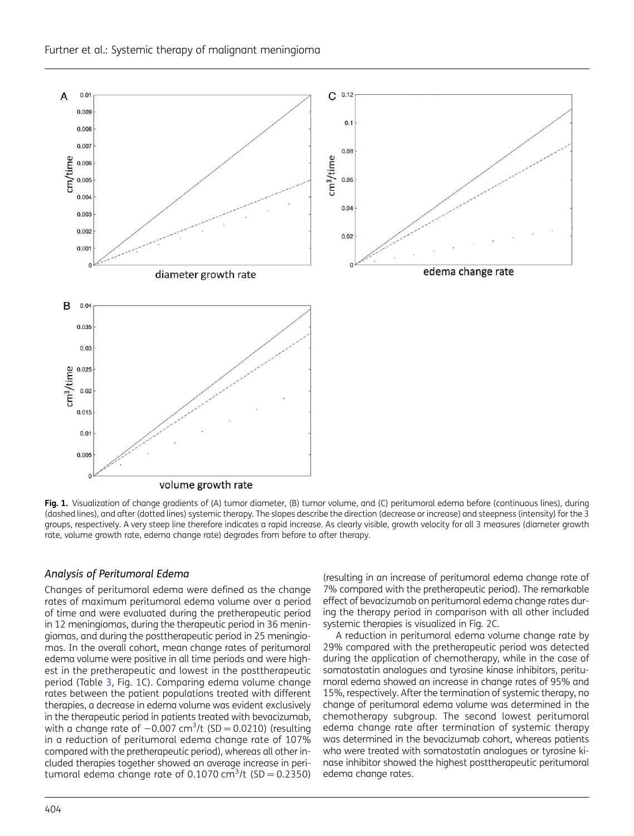<span id="page-3-0"></span>

Fig. 1. Visualization of change gradients of (A) tumor diameter, (B) tumor volume, and (C) peritumoral edema before (continuous lines), during (dashed lines), and after (dotted lines) systemic therapy. The slopes describe the direction (decrease or increase) and steepness (intensity) for the 3 groups, respectively. A very steep line therefore indicates a rapid increase. As clearly visible, growth velocity for all 3 measures (diameter growth rate, volume growth rate, edema change rate) degrades from before to after therapy.

# Analysis of Peritumoral Edema

Changes of peritumoral edema were defined as the change rates of maximum peritumoral edema volume over a period of time and were evaluated during the pretherapeutic period in 12 meningiomas, during the therapeutic period in 36 meningiomas, and during the posttherapeutic period in 25 meningiomas. In the overall cohort, mean change rates of peritumoral edema volume were positive in all time periods and were highest in the pretherapeutic and lowest in the posttherapeutic period (Table [3,](#page-5-0) Fig. 1C). Comparing edema volume change rates between the patient populations treated with different therapies, a decrease in edema volume was evident exclusively in the therapeutic period in patients treated with bevacizumab, with a change rate of  $-0.007$  cm<sup>3</sup>/t (SD  $=$  0.0210) (resulting in a reduction of peritumoral edema change rate of 107% compared with the pretherapeutic period), whereas all other included therapies together showed an average increase in peritumoral edema change rate of 0.1070 cm<sup>3</sup>/t (SD = 0.2350)

(resulting in an increase of peritumoral edema change rate of 7% compared with the pretherapeutic period). The remarkable effect of bevacizumab on peritumoral edema change rates during the therapy period in comparison with all other included systemic therapies is visualized in Fig. [2C](#page-4-0).

A reduction in peritumoral edema volume change rate by 29% compared with the pretherapeutic period was detected during the application of chemotherapy, while in the case of somatostatin analogues and tyrosine kinase inhibitors, peritumoral edema showed an increase in change rates of 95% and 15%, respectively. After the termination of systemic therapy, no change of peritumoral edema volume was determined in the chemotherapy subgroup. The second lowest peritumoral edema change rate after termination of systemic therapy was determined in the bevacizumab cohort, whereas patients who were treated with somatostatin analogues or tyrosine kinase inhibitor showed the highest posttherapeutic peritumoral edema change rates.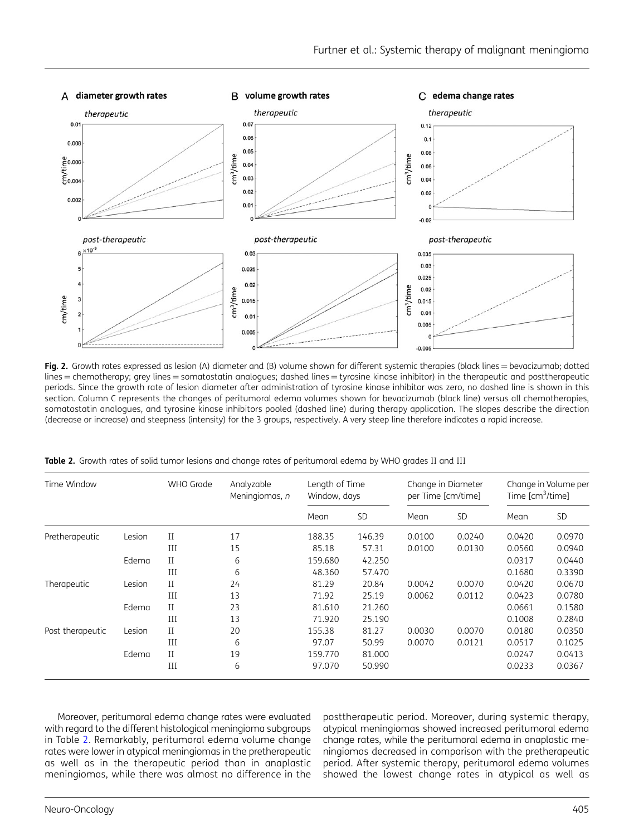<span id="page-4-0"></span>

Fig. 2. Growth rates expressed as lesion (A) diameter and (B) volume shown for different systemic therapies (black lines = bevacizumab; dotted  $lines =$  chemotherapy; grey lines  $=$  somatostatin analogues; dashed lines  $=$  tyrosine kinase inhibitor) in the therapeutic and posttherapeutic periods. Since the growth rate of lesion diameter after administration of tyrosine kinase inhibitor was zero, no dashed line is shown in this section. Column C represents the changes of peritumoral edema volumes shown for bevacizumab (black line) versus all chemotherapies, somatostatin analogues, and tyrosine kinase inhibitors pooled (dashed line) during therapy application. The slopes describe the direction (decrease or increase) and steepness (intensity) for the 3 groups, respectively. A very steep line therefore indicates a rapid increase.

|  |  | Table 2. Growth rates of solid tumor lesions and change rates of peritumoral edema by WHO arades II and III |  |
|--|--|-------------------------------------------------------------------------------------------------------------|--|
|  |  |                                                                                                             |  |

| Time Window      |        | <b>WHO Grade</b> | Analyzable<br>Meningiomas, n | Length of Time<br>Window, days |           | Change in Diameter<br>per Time [cm/time] |           | Change in Volume per<br>Time [cm <sup>3</sup> /time] |           |
|------------------|--------|------------------|------------------------------|--------------------------------|-----------|------------------------------------------|-----------|------------------------------------------------------|-----------|
|                  |        |                  |                              | Mean                           | <b>SD</b> | Mean                                     | <b>SD</b> | Mean                                                 | <b>SD</b> |
| Pretherapeutic   | Lesion | $\rm II$         | 17                           | 188.35                         | 146.39    | 0.0100                                   | 0.0240    | 0.0420                                               | 0.0970    |
|                  |        | III              | 15                           | 85.18                          | 57.31     | 0.0100                                   | 0.0130    | 0.0560                                               | 0.0940    |
|                  | Edema  | $\rm II$         | 6                            | 159.680                        | 42.250    |                                          |           | 0.0317                                               | 0.0440    |
|                  |        | III              | 6                            | 48.360                         | 57.470    |                                          |           | 0.1680                                               | 0.3390    |
| Therapeutic      | Lesion | $\rm II$         | 24                           | 81.29                          | 20.84     | 0.0042                                   | 0.0070    | 0.0420                                               | 0.0670    |
|                  |        | $\overline{11}$  | 13                           | 71.92                          | 25.19     | 0.0062                                   | 0.0112    | 0.0423                                               | 0.0780    |
|                  | Edema  | $\mathbf{H}$     | 23                           | 81.610                         | 21.260    |                                          |           | 0.0661                                               | 0.1580    |
|                  |        | $\prod$          | 13                           | 71.920                         | 25.190    |                                          |           | 0.1008                                               | 0.2840    |
| Post therapeutic | Lesion | П                | 20                           | 155.38                         | 81.27     | 0.0030                                   | 0.0070    | 0.0180                                               | 0.0350    |
|                  |        | III              | 6                            | 97.07                          | 50.99     | 0.0070                                   | 0.0121    | 0.0517                                               | 0.1025    |
|                  | Edema  | П                | 19                           | 159.770                        | 81.000    |                                          |           | 0.0247                                               | 0.0413    |
|                  |        | III              | 6                            | 97.070                         | 50.990    |                                          |           | 0.0233                                               | 0.0367    |

Moreover, peritumoral edema change rates were evaluated with regard to the different histological meningioma subgroups in Table 2. Remarkably, peritumoral edema volume change rates were lower in atypical meningiomas in the pretherapeutic as well as in the therapeutic period than in anaplastic meningiomas, while there was almost no difference in the

posttherapeutic period. Moreover, during systemic therapy, atypical meningiomas showed increased peritumoral edema change rates, while the peritumoral edema in anaplastic meningiomas decreased in comparison with the pretherapeutic period. After systemic therapy, peritumoral edema volumes showed the lowest change rates in atypical as well as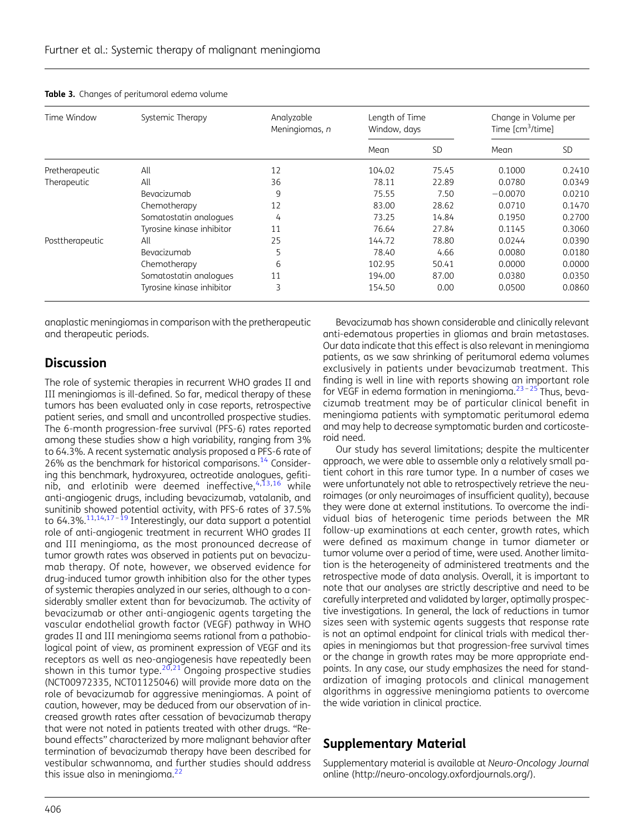| Time Window     | Systemic Therapy          | Analyzable<br>Meningiomas, n | Length of Time<br>Window, days |           | Change in Volume per<br>Time [cm <sup>3</sup> /time] |           |
|-----------------|---------------------------|------------------------------|--------------------------------|-----------|------------------------------------------------------|-----------|
|                 |                           |                              | Mean                           | <b>SD</b> | Mean                                                 | <b>SD</b> |
| Pretherapeutic  | All                       | 12                           | 104.02                         | 75.45     | 0.1000                                               | 0.2410    |
| Therapeutic     | All                       | 36                           | 78.11                          | 22.89     | 0.0780                                               | 0.0349    |
|                 | Bevacizumab               | 9                            | 75.55                          | 7.50      | $-0.0070$                                            | 0.0210    |
|                 | Chemotherapy              | 12                           | 83.00                          | 28.62     | 0.0710                                               | 0.1470    |
|                 | Somatostatin analogues    | 4                            | 73.25                          | 14.84     | 0.1950                                               | 0.2700    |
|                 | Tyrosine kinase inhibitor | 11                           | 76.64                          | 27.84     | 0.1145                                               | 0.3060    |
| Posttherapeutic | All                       | 25                           | 144.72                         | 78.80     | 0.0244                                               | 0.0390    |
|                 | Bevacizumab               | 5                            | 78.40                          | 4.66      | 0.0080                                               | 0.0180    |
|                 | Chemotherapy              | 6                            | 102.95                         | 50.41     | 0.0000                                               | 0.0000    |
|                 | Somatostatin analogues    | 11                           | 194.00                         | 87.00     | 0.0380                                               | 0.0350    |
|                 | Tyrosine kinase inhibitor | 3                            | 154.50                         | 0.00      | 0.0500                                               | 0.0860    |

#### <span id="page-5-0"></span>Table 3. Changes of peritumoral edema volume

anaplastic meningiomas in comparison with the pretherapeutic and therapeutic periods.

# **Discussion**

The role of systemic therapies in recurrent WHO grades II and III meningiomas is ill-defined. So far, medical therapy of these tumors has been evaluated only in case reports, retrospective patient series, and small and uncontrolled prospective studies. The 6-month progression-free survival (PFS-6) rates reported among these studies show a high variability, ranging from 3% to 64.3%. A recent systematic analysis proposed a PFS-6 rate of 26% as the benchmark for historical comparisons.[14](#page-6-0) Considering this benchmark, hydroxyurea, octreotide analogues, gefitinib, and erlotinib were deemed ineffective,  $4,13,16$  while anti-angiogenic drugs, including bevacizumab, vatalanib, and sunitinib showed potential activity, with PFS-6 rates of 37.5% to 64.3%.<sup>[11,14,17](#page-6-0)-[19](#page-6-0)</sup> Interestingly, our data support a potential role of anti-angiogenic treatment in recurrent WHO grades II and III meningioma, as the most pronounced decrease of tumor growth rates was observed in patients put on bevacizumab therapy. Of note, however, we observed evidence for drug-induced tumor growth inhibition also for the other types of systemic therapies analyzed in our series, although to a considerably smaller extent than for bevacizumab. The activity of bevacizumab or other anti-angiogenic agents targeting the vascular endothelial growth factor (VEGF) pathway in WHO grades II and III meningioma seems rational from a pathobiological point of view, as prominent expression of VEGF and its receptors as well as neo-angiogenesis have repeatedly been shown in this tumor type.  $20,21$  Ongoing prospective studies (NCT00972335, NCT01125046) will provide more data on the role of bevacizumab for aggressive meningiomas. A point of caution, however, may be deduced from our observation of increased growth rates after cessation of bevacizumab therapy that were not noted in patients treated with other drugs. "Rebound effects" characterized by more malignant behavior after termination of bevacizumab therapy have been described for vestibular schwannoma, and further studies should address this issue also in meningioma.<sup>[22](#page-6-0)</sup>

Bevacizumab has shown considerable and clinically relevant anti-edematous properties in gliomas and brain metastases. Our data indicate that this effect is also relevant in meningioma patients, as we saw shrinking of peritumoral edema volumes exclusively in patients under bevacizumab treatment. This finding is well in line with reports showing an important role for VEGF in edema formation in meningioma. $23 - 25$  $23 - 25$  $23 - 25$  Thus, bevacizumab treatment may be of particular clinical benefit in meningioma patients with symptomatic peritumoral edema and may help to decrease symptomatic burden and corticosteroid need.

Our study has several limitations; despite the multicenter approach, we were able to assemble only a relatively small patient cohort in this rare tumor type. In a number of cases we were unfortunately not able to retrospectively retrieve the neuroimages (or only neuroimages of insufficient quality), because they were done at external institutions. To overcome the individual bias of heterogenic time periods between the MR follow-up examinations at each center, growth rates, which were defined as maximum change in tumor diameter or tumor volume over a period of time, were used. Another limitation is the heterogeneity of administered treatments and the retrospective mode of data analysis. Overall, it is important to note that our analyses are strictly descriptive and need to be carefully interpreted and validated by larger, optimally prospective investigations. In general, the lack of reductions in tumor sizes seen with systemic agents suggests that response rate is not an optimal endpoint for clinical trials with medical therapies in meningiomas but that progression-free survival times or the change in growth rates may be more appropriate endpoints. In any case, our study emphasizes the need for standardization of imaging protocols and clinical management algorithms in aggressive meningioma patients to overcome the wide variation in clinical practice.

# Supplementary Material

[Supplementary material is available at](http://neuro-oncology.oxfordjournals.org/lookup/suppl/doi:10.1093/neuonc/nov183/-/DC1) Neuro-Oncology Journal [online \(http://neuro-oncology.oxfordjournals.org/\).](http://neuro-oncology.oxfordjournals.org/lookup/suppl/doi:10.1093/neuonc/nov183/-/DC1)